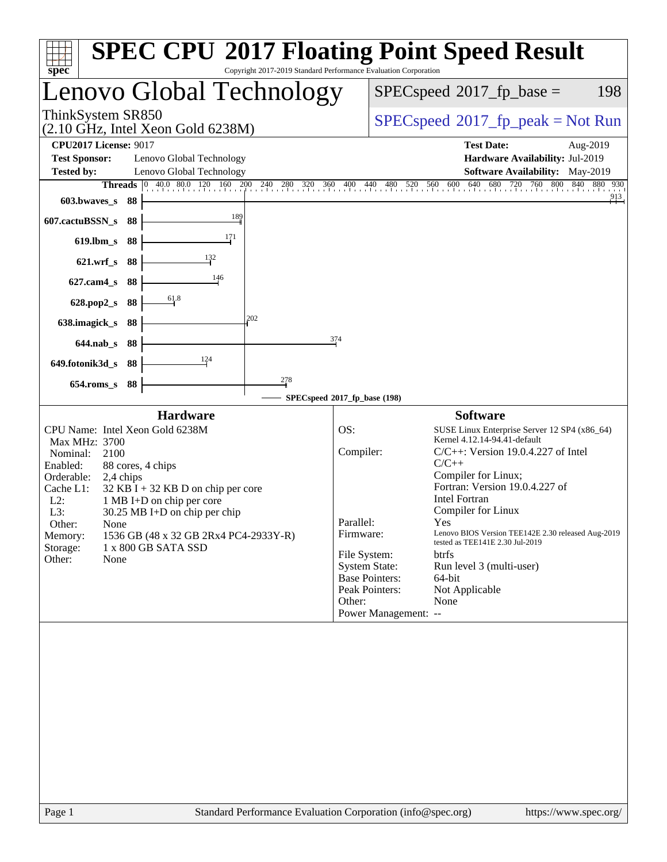| <b>SPEC CPU®2017 Floating Point Speed Result</b><br>Copyright 2017-2019 Standard Performance Evaluation Corporation<br>spec                                                                                                                                                                                                                                                                                                                                                                         |                                                                                                                                                                                                                                                                                                                                                                                                                                                                                                                                                                                                        |
|-----------------------------------------------------------------------------------------------------------------------------------------------------------------------------------------------------------------------------------------------------------------------------------------------------------------------------------------------------------------------------------------------------------------------------------------------------------------------------------------------------|--------------------------------------------------------------------------------------------------------------------------------------------------------------------------------------------------------------------------------------------------------------------------------------------------------------------------------------------------------------------------------------------------------------------------------------------------------------------------------------------------------------------------------------------------------------------------------------------------------|
| Lenovo Global Technology                                                                                                                                                                                                                                                                                                                                                                                                                                                                            | $SPEC speed^{\circ}2017$ _fp_base =<br>198                                                                                                                                                                                                                                                                                                                                                                                                                                                                                                                                                             |
| ThinkSystem SR850<br>$(2.10 \text{ GHz}, \text{Intel Xeon Gold } 6238\text{M})$                                                                                                                                                                                                                                                                                                                                                                                                                     | $SPEC speed^{\circ}2017\_fp\_peak = Not Run$                                                                                                                                                                                                                                                                                                                                                                                                                                                                                                                                                           |
| <b>CPU2017 License: 9017</b><br><b>Test Sponsor:</b><br>Lenovo Global Technology<br>Lenovo Global Technology<br><b>Tested by:</b><br><b>Threads</b> 0 40.0 80.0 120 160 200 240 280<br>603.bwaves_s<br>88<br>189<br>607.cactuBSSN_s<br>88<br>171<br>$619$ .lbm_s<br>88<br>132<br>$621.wrf$ <sub>S</sub><br>88<br>146<br>$627$ .cam $4_s$<br>88<br>61.8<br>628.pop2_s<br>88<br>202<br>638.imagick_s<br>88<br>374<br>88<br>$644$ .nab s<br>124<br>649.fotonik3d_s<br>88<br>278<br>$654$ .roms_s<br>88 | <b>Test Date:</b><br>Aug-2019<br>Hardware Availability: Jul-2019<br>Software Availability: May-2019<br>720 760<br>800<br>840<br>$520$ $560$ $600$ $640$ $61$<br>680<br>880 930<br>$320$ $360$ $400$ $440$<br>480<br>913                                                                                                                                                                                                                                                                                                                                                                                |
|                                                                                                                                                                                                                                                                                                                                                                                                                                                                                                     | SPECspeed®2017_fp_base (198)                                                                                                                                                                                                                                                                                                                                                                                                                                                                                                                                                                           |
| <b>Hardware</b><br>CPU Name: Intel Xeon Gold 6238M<br>Max MHz: 3700<br>Nominal:<br>2100<br>Enabled:<br>88 cores, 4 chips<br>Orderable:<br>2,4 chips<br>Cache L1:<br>$32$ KB I + 32 KB D on chip per core<br>$L2$ :<br>1 MB I+D on chip per core<br>L3:<br>30.25 MB I+D on chip per chip<br>Other:<br>None<br>1536 GB (48 x 32 GB 2Rx4 PC4-2933Y-R)<br>Memory:<br>Storage:<br>1 x 800 GB SATA SSD<br>Other:<br>None                                                                                  | <b>Software</b><br>OS:<br>SUSE Linux Enterprise Server 12 SP4 (x86_64)<br>Kernel 4.12.14-94.41-default<br>Compiler:<br>$C/C++$ : Version 19.0.4.227 of Intel<br>$C/C++$<br>Compiler for Linux;<br>Fortran: Version 19.0.4.227 of<br><b>Intel Fortran</b><br>Compiler for Linux<br>Parallel:<br>Yes<br>Firmware:<br>Lenovo BIOS Version TEE142E 2.30 released Aug-2019<br>tested as TEE141E 2.30 Jul-2019<br>File System:<br>btrfs<br><b>System State:</b><br>Run level 3 (multi-user)<br><b>Base Pointers:</b><br>64-bit<br>Peak Pointers:<br>Not Applicable<br>Other:<br>None<br>Power Management: -- |
|                                                                                                                                                                                                                                                                                                                                                                                                                                                                                                     |                                                                                                                                                                                                                                                                                                                                                                                                                                                                                                                                                                                                        |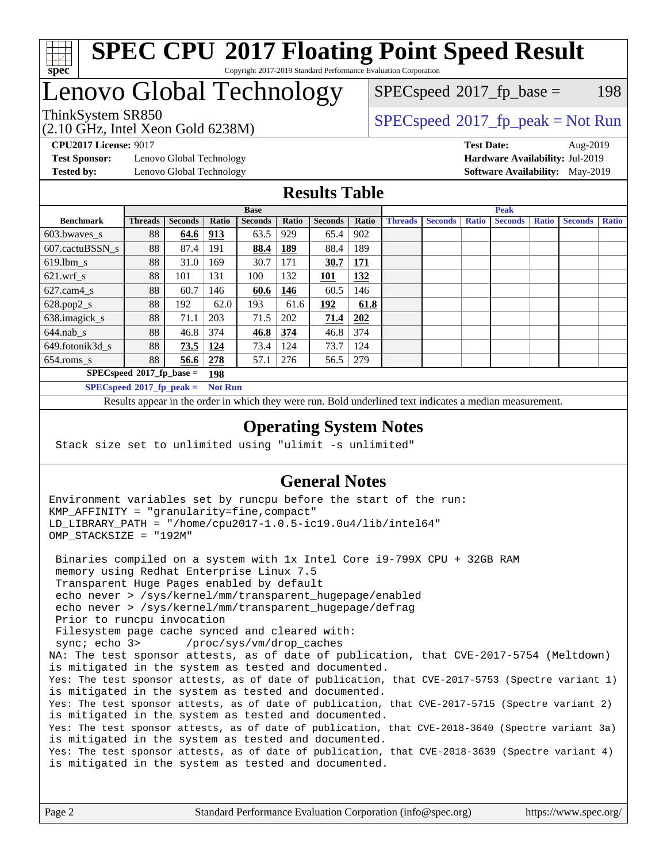

# Lenovo Global Technology

(2.10 GHz, Intel Xeon Gold 6238M)

ThinkSystem SR850<br>  $SPEC speed^{\circ}2017$  [p\_peak = Not Run  $SPEC speed^{\circ}2017\_fp\_base = 198$ 

**[Test Sponsor:](http://www.spec.org/auto/cpu2017/Docs/result-fields.html#TestSponsor)** Lenovo Global Technology **[Hardware Availability:](http://www.spec.org/auto/cpu2017/Docs/result-fields.html#HardwareAvailability)** Jul-2019 **[Tested by:](http://www.spec.org/auto/cpu2017/Docs/result-fields.html#Testedby)** Lenovo Global Technology **[Software Availability:](http://www.spec.org/auto/cpu2017/Docs/result-fields.html#SoftwareAvailability)** May-2019

**[CPU2017 License:](http://www.spec.org/auto/cpu2017/Docs/result-fields.html#CPU2017License)** 9017 **[Test Date:](http://www.spec.org/auto/cpu2017/Docs/result-fields.html#TestDate)** Aug-2019

### **[Results Table](http://www.spec.org/auto/cpu2017/Docs/result-fields.html#ResultsTable)**

|                                    | <b>Base</b>    |         |                | <b>Peak</b>    |            |                |       |                |                |              |                |              |                |              |
|------------------------------------|----------------|---------|----------------|----------------|------------|----------------|-------|----------------|----------------|--------------|----------------|--------------|----------------|--------------|
| <b>Benchmark</b>                   | <b>Threads</b> | Seconds | Ratio          | <b>Seconds</b> | Ratio      | <b>Seconds</b> | Ratio | <b>Threads</b> | <b>Seconds</b> | <b>Ratio</b> | <b>Seconds</b> | <b>Ratio</b> | <b>Seconds</b> | <b>Ratio</b> |
| 603.bwayes s                       | 88             | 64.6    | 913            | 63.5           | 929        | 65.4           | 902   |                |                |              |                |              |                |              |
| 607.cactuBSSN s                    | 88             | 87.4    | 191            | 88.4           | <b>189</b> | 88.4           | 189   |                |                |              |                |              |                |              |
| $619.1$ bm s                       | 88             | 31.0    | 169            | 30.7           | 171        | 30.7           | 171   |                |                |              |                |              |                |              |
| $621.wrf$ s                        | 88             | 101     | 131            | 100            | 132        | 101            | 132   |                |                |              |                |              |                |              |
| $627$ .cam $4$ <sub>s</sub>        | 88             | 60.7    | 146            | 60.6           | 146        | 60.5           | 146   |                |                |              |                |              |                |              |
| $628.pop2_s$                       | 88             | 192     | 62.0           | 193            | 61.6       | <u>192</u>     | 61.8  |                |                |              |                |              |                |              |
| 638.imagick_s                      | 88             | 71.1    | 203            | 71.5           | 202        | 71.4           | 202   |                |                |              |                |              |                |              |
| $644$ .nab s                       | 88             | 46.8    | 374            | 46.8           | 374        | 46.8           | 374   |                |                |              |                |              |                |              |
| 649.fotonik3d s                    | 88             | 73.5    | <u>124</u>     | 73.4           | 124        | 73.7           | 124   |                |                |              |                |              |                |              |
| $654$ .roms s                      | 88             | 56.6    | 278            | 57.1           | 276        | 56.5           | 279   |                |                |              |                |              |                |              |
| $SPECspeed*2017_fp\_base =$<br>198 |                |         |                |                |            |                |       |                |                |              |                |              |                |              |
| $SPECspeed^{\circ}2017$ fp peak =  |                |         | <b>Not Run</b> |                |            |                |       |                |                |              |                |              |                |              |

Results appear in the [order in which they were run.](http://www.spec.org/auto/cpu2017/Docs/result-fields.html#RunOrder) Bold underlined text [indicates a median measurement](http://www.spec.org/auto/cpu2017/Docs/result-fields.html#Median).

### **[Operating System Notes](http://www.spec.org/auto/cpu2017/Docs/result-fields.html#OperatingSystemNotes)**

Stack size set to unlimited using "ulimit -s unlimited"

### **[General Notes](http://www.spec.org/auto/cpu2017/Docs/result-fields.html#GeneralNotes)**

Environment variables set by runcpu before the start of the run: KMP\_AFFINITY = "granularity=fine,compact" LD\_LIBRARY\_PATH = "/home/cpu2017-1.0.5-ic19.0u4/lib/intel64" OMP\_STACKSIZE = "192M" Binaries compiled on a system with 1x Intel Core i9-799X CPU + 32GB RAM memory using Redhat Enterprise Linux 7.5 Transparent Huge Pages enabled by default echo never > /sys/kernel/mm/transparent\_hugepage/enabled echo never > /sys/kernel/mm/transparent\_hugepage/defrag Prior to runcpu invocation Filesystem page cache synced and cleared with: sync; echo 3> /proc/sys/vm/drop\_caches NA: The test sponsor attests, as of date of publication, that CVE-2017-5754 (Meltdown) is mitigated in the system as tested and documented. Yes: The test sponsor attests, as of date of publication, that CVE-2017-5753 (Spectre variant 1) is mitigated in the system as tested and documented. Yes: The test sponsor attests, as of date of publication, that CVE-2017-5715 (Spectre variant 2) is mitigated in the system as tested and documented. Yes: The test sponsor attests, as of date of publication, that CVE-2018-3640 (Spectre variant 3a) is mitigated in the system as tested and documented. Yes: The test sponsor attests, as of date of publication, that CVE-2018-3639 (Spectre variant 4) is mitigated in the system as tested and documented.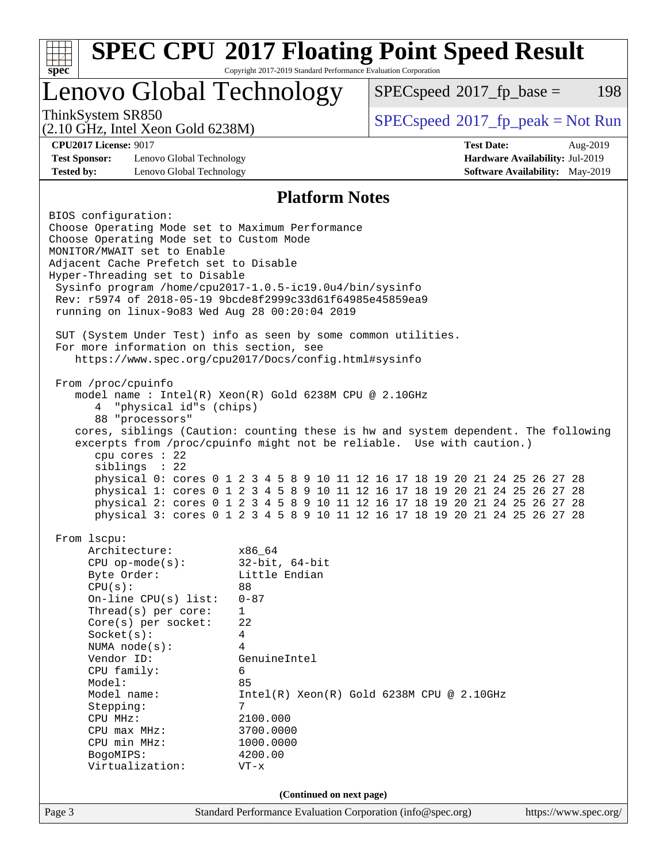| <b>SPEC CPU®2017 Floating Point Speed Result</b><br>Copyright 2017-2019 Standard Performance Evaluation Corporation<br>spec <sup>®</sup>                                                                                                                                                                                                                                                                  |                                                                                                                                                                                                |                                                                                                                                                                                                                                                                                                                                                                                                                                                                                         |  |  |  |
|-----------------------------------------------------------------------------------------------------------------------------------------------------------------------------------------------------------------------------------------------------------------------------------------------------------------------------------------------------------------------------------------------------------|------------------------------------------------------------------------------------------------------------------------------------------------------------------------------------------------|-----------------------------------------------------------------------------------------------------------------------------------------------------------------------------------------------------------------------------------------------------------------------------------------------------------------------------------------------------------------------------------------------------------------------------------------------------------------------------------------|--|--|--|
| Lenovo Global Technology                                                                                                                                                                                                                                                                                                                                                                                  |                                                                                                                                                                                                | $SPEC speed^{\circ}2017\_fp\_base =$<br>198                                                                                                                                                                                                                                                                                                                                                                                                                                             |  |  |  |
| ThinkSystem SR850<br>$(2.10 \text{ GHz}, \text{Intel Xeon Gold } 6238\text{M})$                                                                                                                                                                                                                                                                                                                           |                                                                                                                                                                                                | $SPEC speed^{\circ}2017\_fp\_peak = Not Run$                                                                                                                                                                                                                                                                                                                                                                                                                                            |  |  |  |
| <b>CPU2017 License: 9017</b><br><b>Test Sponsor:</b><br>Lenovo Global Technology<br><b>Tested by:</b><br>Lenovo Global Technology                                                                                                                                                                                                                                                                         |                                                                                                                                                                                                | <b>Test Date:</b><br>Aug-2019<br>Hardware Availability: Jul-2019<br><b>Software Availability:</b> May-2019                                                                                                                                                                                                                                                                                                                                                                              |  |  |  |
|                                                                                                                                                                                                                                                                                                                                                                                                           | <b>Platform Notes</b>                                                                                                                                                                          |                                                                                                                                                                                                                                                                                                                                                                                                                                                                                         |  |  |  |
| BIOS configuration:<br>Choose Operating Mode set to Maximum Performance<br>Choose Operating Mode set to Custom Mode<br>MONITOR/MWAIT set to Enable<br>Adjacent Cache Prefetch set to Disable<br>Hyper-Threading set to Disable<br>Sysinfo program /home/cpu2017-1.0.5-ic19.0u4/bin/sysinfo<br>Rev: r5974 of 2018-05-19 9bcde8f2999c33d61f64985e45859ea9<br>running on linux-9083 Wed Aug 28 00:20:04 2019 |                                                                                                                                                                                                |                                                                                                                                                                                                                                                                                                                                                                                                                                                                                         |  |  |  |
| SUT (System Under Test) info as seen by some common utilities.<br>For more information on this section, see                                                                                                                                                                                                                                                                                               | https://www.spec.org/cpu2017/Docs/config.html#sysinfo                                                                                                                                          |                                                                                                                                                                                                                                                                                                                                                                                                                                                                                         |  |  |  |
| From /proc/cpuinfo<br>"physical id"s (chips)<br>4<br>88 "processors"<br>cpu cores $: 22$<br>siblings : 22                                                                                                                                                                                                                                                                                                 | model name : Intel(R) Xeon(R) Gold 6238M CPU @ 2.10GHz                                                                                                                                         | cores, siblings (Caution: counting these is hw and system dependent. The following<br>excerpts from /proc/cpuinfo might not be reliable. Use with caution.)<br>physical 0: cores 0 1 2 3 4 5 8 9 10 11 12 16 17 18 19 20 21 24 25 26 27 28<br>physical 1: cores 0 1 2 3 4 5 8 9 10 11 12 16 17 18 19 20 21 24 25 26 27 28<br>physical 2: cores 0 1 2 3 4 5 8 9 10 11 12 16 17 18 19 20 21 24 25 26 27 28<br>physical 3: cores 0 1 2 3 4 5 8 9 10 11 12 16 17 18 19 20 21 24 25 26 27 28 |  |  |  |
| From 1scpu:<br>Architecture:<br>$CPU$ op-mode( $s$ ):<br>Byte Order:<br>CPU(s):<br>On-line CPU(s) list:<br>Thread( $s$ ) per core:<br>$Core(s)$ per socket:<br>Socket(s):<br>NUMA node(s):<br>Vendor ID:<br>CPU family:<br>Model:<br>Model name:<br>Stepping:<br>CPU MHz:<br>CPU max MHz:<br>CPU min MHz:<br>BogoMIPS:<br>Virtualization:                                                                 | x86_64<br>$32$ -bit, $64$ -bit<br>Little Endian<br>88<br>$0 - 87$<br>$\mathbf{1}$<br>22<br>4<br>4<br>GenuineIntel<br>6<br>85<br>7<br>2100.000<br>3700.0000<br>1000.0000<br>4200.00<br>$VT - x$ | $Intel(R) Xeon(R) Gold 6238M CPU @ 2.10GHz$                                                                                                                                                                                                                                                                                                                                                                                                                                             |  |  |  |
|                                                                                                                                                                                                                                                                                                                                                                                                           | (Continued on next page)                                                                                                                                                                       |                                                                                                                                                                                                                                                                                                                                                                                                                                                                                         |  |  |  |
| Page 3                                                                                                                                                                                                                                                                                                                                                                                                    | Standard Performance Evaluation Corporation (info@spec.org)                                                                                                                                    | https://www.spec.org/                                                                                                                                                                                                                                                                                                                                                                                                                                                                   |  |  |  |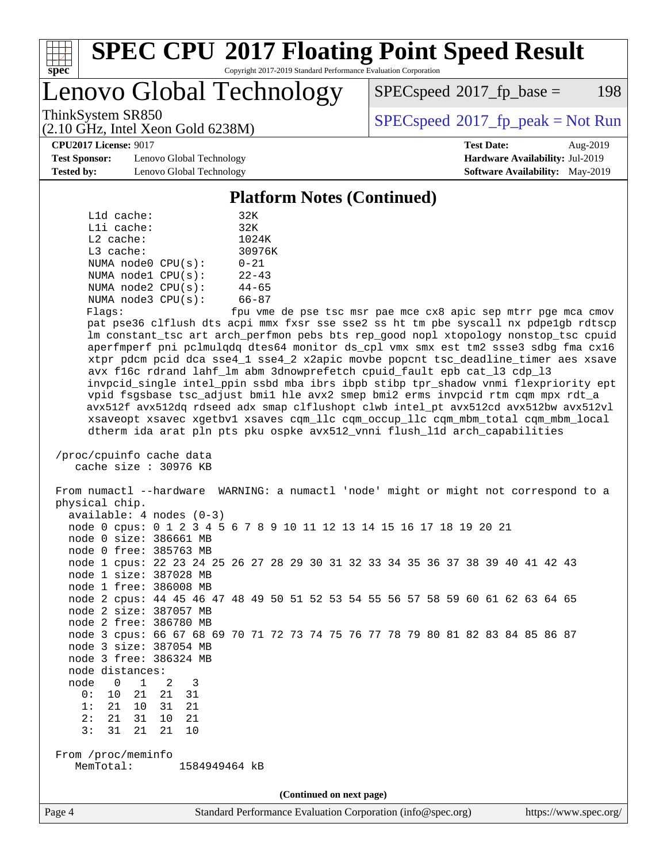

Lenovo Global Technology

 $SPEC speed^{\circ}2017\_fp\_base = 198$ 

(2.10 GHz, Intel Xeon Gold 6238M)

ThinkSystem SR850<br>  $SPEC speed^{\circ}2017$  [p\_peak = Not Run

**[Test Sponsor:](http://www.spec.org/auto/cpu2017/Docs/result-fields.html#TestSponsor)** Lenovo Global Technology **[Hardware Availability:](http://www.spec.org/auto/cpu2017/Docs/result-fields.html#HardwareAvailability)** Jul-2019 **[Tested by:](http://www.spec.org/auto/cpu2017/Docs/result-fields.html#Testedby)** Lenovo Global Technology **[Software Availability:](http://www.spec.org/auto/cpu2017/Docs/result-fields.html#SoftwareAvailability)** May-2019

**[CPU2017 License:](http://www.spec.org/auto/cpu2017/Docs/result-fields.html#CPU2017License)** 9017 **[Test Date:](http://www.spec.org/auto/cpu2017/Docs/result-fields.html#TestDate)** Aug-2019

#### **[Platform Notes \(Continued\)](http://www.spec.org/auto/cpu2017/Docs/result-fields.html#PlatformNotes)**

| L1d cache:              | 32K           |
|-------------------------|---------------|
| Lli cache:              | 32K           |
| $L2$ cache:             | 1024K         |
| $L3$ cache:             | 30976K        |
| NUMA $node0$ $CPU(s)$ : | $0 - 21$      |
| NUMA nodel CPU(s):      | $22 - 43$     |
| NUMA $node2$ $CPU(s)$ : | $44 - 65$     |
| NUMA node3 CPU(s):      | $66 - 87$     |
|                         | $\sim$ $\sim$ |

Flags: fpu vme de pse tsc msr pae mce cx8 apic sep mtrr pge mca cmov pat pse36 clflush dts acpi mmx fxsr sse sse2 ss ht tm pbe syscall nx pdpe1gb rdtscp lm constant\_tsc art arch\_perfmon pebs bts rep\_good nopl xtopology nonstop\_tsc cpuid aperfmperf pni pclmulqdq dtes64 monitor ds\_cpl vmx smx est tm2 ssse3 sdbg fma cx16 xtpr pdcm pcid dca sse4\_1 sse4\_2 x2apic movbe popcnt tsc\_deadline\_timer aes xsave avx f16c rdrand lahf\_lm abm 3dnowprefetch cpuid\_fault epb cat\_l3 cdp\_l3 invpcid\_single intel\_ppin ssbd mba ibrs ibpb stibp tpr\_shadow vnmi flexpriority ept vpid fsgsbase tsc\_adjust bmi1 hle avx2 smep bmi2 erms invpcid rtm cqm mpx rdt\_a avx512f avx512dq rdseed adx smap clflushopt clwb intel\_pt avx512cd avx512bw avx512vl xsaveopt xsavec xgetbv1 xsaves cqm\_llc cqm\_occup\_llc cqm\_mbm\_total cqm\_mbm\_local dtherm ida arat pln pts pku ospke avx512\_vnni flush\_l1d arch\_capabilities

```
 /proc/cpuinfo cache data
cache size : 30976 KB
```
 From numactl --hardware WARNING: a numactl 'node' might or might not correspond to a physical chip. available: 4 nodes (0-3) node 0 cpus: 0 1 2 3 4 5 6 7 8 9 10 11 12 13 14 15 16 17 18 19 20 21 node 0 size: 386661 MB node 0 free: 385763 MB node 1 cpus: 22 23 24 25 26 27 28 29 30 31 32 33 34 35 36 37 38 39 40 41 42 43 node 1 size: 387028 MB node 1 free: 386008 MB node 2 cpus: 44 45 46 47 48 49 50 51 52 53 54 55 56 57 58 59 60 61 62 63 64 65 node 2 size: 387057 MB node 2 free: 386780 MB node 3 cpus: 66 67 68 69 70 71 72 73 74 75 76 77 78 79 80 81 82 83 84 85 86 87 node 3 size: 387054 MB node 3 free: 386324 MB node distances: node 0 1 2 3 0: 10 21 21 31 1: 21 10 31 21 2: 21 31 10 21 3: 31 21 21 10 From /proc/meminfo MemTotal: 1584949464 kB **(Continued on next page)**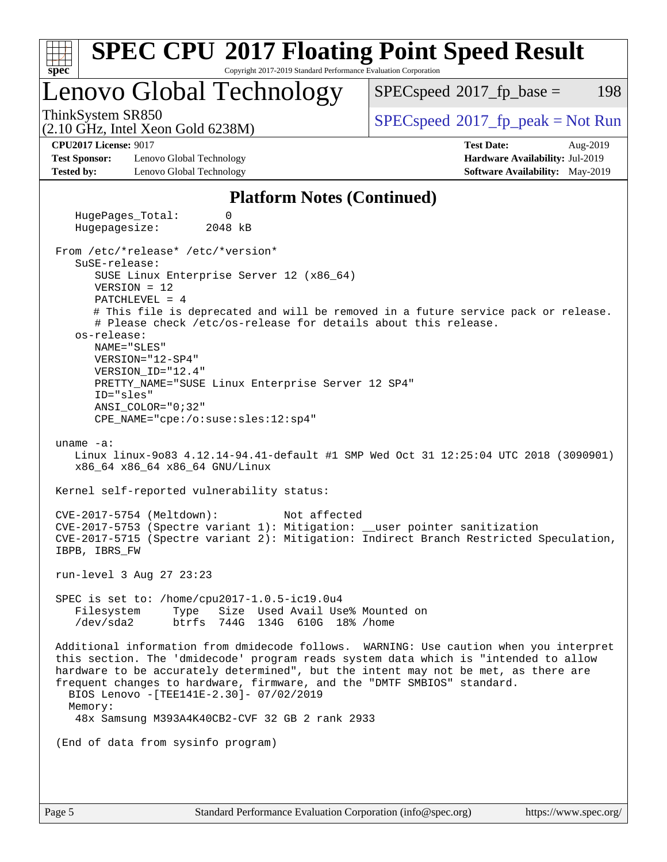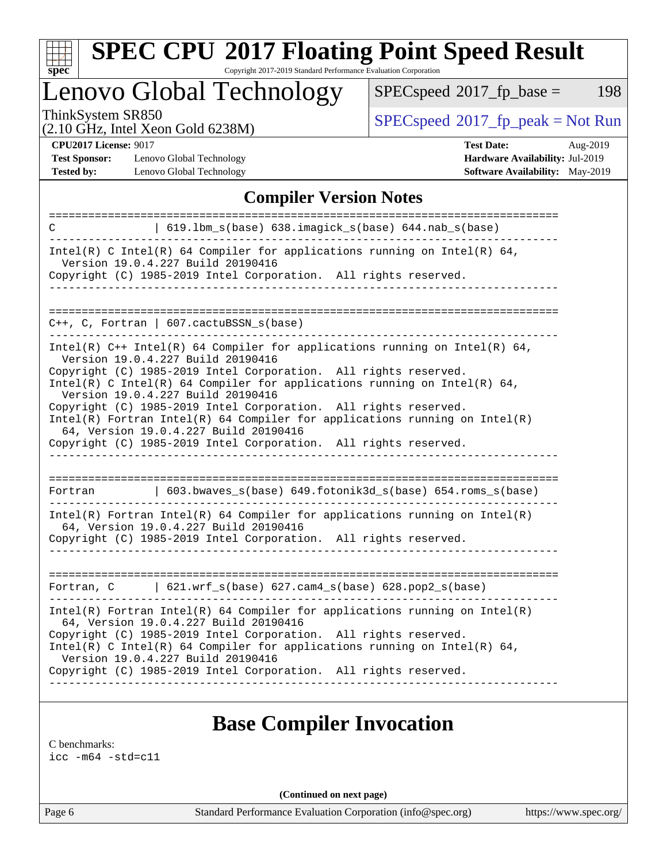

# **[SPEC CPU](http://www.spec.org/auto/cpu2017/Docs/result-fields.html#SPECCPU2017FloatingPointSpeedResult)[2017 Floating Point Speed Result](http://www.spec.org/auto/cpu2017/Docs/result-fields.html#SPECCPU2017FloatingPointSpeedResult)**

Copyright 2017-2019 Standard Performance Evaluation Corporation

Lenovo Global Technology

 $SPECspeed^{\circ}2017_fp\_base = 198$  $SPECspeed^{\circ}2017_fp\_base = 198$ 

(2.10 GHz, Intel Xeon Gold 6238M)

 $SPECspeed^{\circ}2017_fp\_peak = Not Run$  $SPECspeed^{\circ}2017_fp\_peak = Not Run$ 

**[Test Sponsor:](http://www.spec.org/auto/cpu2017/Docs/result-fields.html#TestSponsor)** Lenovo Global Technology **[Hardware Availability:](http://www.spec.org/auto/cpu2017/Docs/result-fields.html#HardwareAvailability)** Jul-2019 **[Tested by:](http://www.spec.org/auto/cpu2017/Docs/result-fields.html#Testedby)** Lenovo Global Technology **[Software Availability:](http://www.spec.org/auto/cpu2017/Docs/result-fields.html#SoftwareAvailability)** May-2019

**[CPU2017 License:](http://www.spec.org/auto/cpu2017/Docs/result-fields.html#CPU2017License)** 9017 **[Test Date:](http://www.spec.org/auto/cpu2017/Docs/result-fields.html#TestDate)** Aug-2019

## **[Compiler Version Notes](http://www.spec.org/auto/cpu2017/Docs/result-fields.html#CompilerVersionNotes)**

| 619.1bm_s(base) 638.imagick_s(base) 644.nab_s(base)<br>C                                                                                                                                 |  |  |  |  |  |
|------------------------------------------------------------------------------------------------------------------------------------------------------------------------------------------|--|--|--|--|--|
| Intel(R) C Intel(R) 64 Compiler for applications running on Intel(R) 64,<br>Version 19.0.4.227 Build 20190416                                                                            |  |  |  |  |  |
| Copyright (C) 1985-2019 Intel Corporation. All rights reserved.                                                                                                                          |  |  |  |  |  |
| $C_{++}$ , C, Fortran   607.cactuBSSN_s(base)                                                                                                                                            |  |  |  |  |  |
| Intel(R) $C++$ Intel(R) 64 Compiler for applications running on Intel(R) 64,<br>Version 19.0.4.227 Build 20190416<br>Copyright (C) 1985-2019 Intel Corporation. All rights reserved.     |  |  |  |  |  |
| Intel(R) C Intel(R) 64 Compiler for applications running on Intel(R) 64,<br>Version 19.0.4.227 Build 20190416                                                                            |  |  |  |  |  |
| Copyright (C) 1985-2019 Intel Corporation. All rights reserved.<br>$Intel(R)$ Fortran Intel(R) 64 Compiler for applications running on Intel(R)<br>64, Version 19.0.4.227 Build 20190416 |  |  |  |  |  |
| Copyright (C) 1985-2019 Intel Corporation. All rights reserved.                                                                                                                          |  |  |  |  |  |
|                                                                                                                                                                                          |  |  |  |  |  |
| 603.bwaves_s(base) 649.fotonik3d_s(base) 654.roms_s(base)<br>Fortran                                                                                                                     |  |  |  |  |  |
| $Intel(R)$ Fortran Intel(R) 64 Compiler for applications running on Intel(R)<br>64, Version 19.0.4.227 Build 20190416<br>Copyright (C) 1985-2019 Intel Corporation. All rights reserved. |  |  |  |  |  |
|                                                                                                                                                                                          |  |  |  |  |  |
| Fortran, C   621.wrf_s(base) 627.cam4_s(base) 628.pop2_s(base)                                                                                                                           |  |  |  |  |  |
| $Intel(R)$ Fortran Intel(R) 64 Compiler for applications running on Intel(R)<br>64, Version 19.0.4.227 Build 20190416<br>Copyright (C) 1985-2019 Intel Corporation. All rights reserved. |  |  |  |  |  |
| Intel(R) C Intel(R) 64 Compiler for applications running on Intel(R) 64,<br>Version 19.0.4.227 Build 20190416                                                                            |  |  |  |  |  |
| Copyright (C) 1985-2019 Intel Corporation. All rights reserved.                                                                                                                          |  |  |  |  |  |

# **[Base Compiler Invocation](http://www.spec.org/auto/cpu2017/Docs/result-fields.html#BaseCompilerInvocation)**

[C benchmarks](http://www.spec.org/auto/cpu2017/Docs/result-fields.html#Cbenchmarks):

[icc -m64 -std=c11](http://www.spec.org/cpu2017/results/res2019q3/cpu2017-20190903-17641.flags.html#user_CCbase_intel_icc_64bit_c11_33ee0cdaae7deeeab2a9725423ba97205ce30f63b9926c2519791662299b76a0318f32ddfffdc46587804de3178b4f9328c46fa7c2b0cd779d7a61945c91cd35)

**(Continued on next page)**

Page 6 Standard Performance Evaluation Corporation [\(info@spec.org\)](mailto:info@spec.org) <https://www.spec.org/>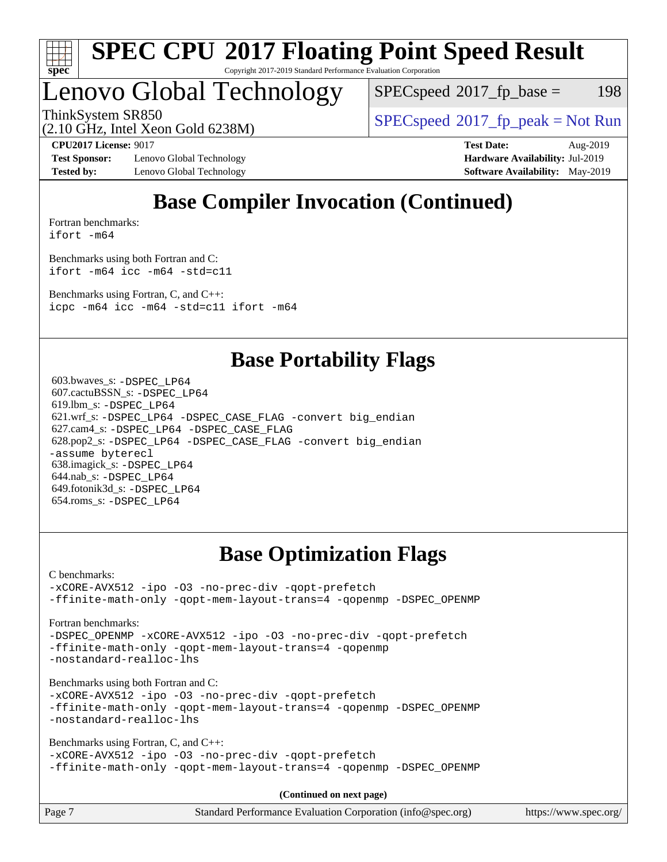

# Lenovo Global Technology

 $SPEC speed^{\circ}2017\_fp\_base = 198$ 

ThinkSystem SR850<br>  $SPEC speed^{\circ}2017$  [p\_peak = Not Run

(2.10 GHz, Intel Xeon Gold 6238M)

**[Test Sponsor:](http://www.spec.org/auto/cpu2017/Docs/result-fields.html#TestSponsor)** Lenovo Global Technology **[Hardware Availability:](http://www.spec.org/auto/cpu2017/Docs/result-fields.html#HardwareAvailability)** Jul-2019 **[Tested by:](http://www.spec.org/auto/cpu2017/Docs/result-fields.html#Testedby)** Lenovo Global Technology **[Software Availability:](http://www.spec.org/auto/cpu2017/Docs/result-fields.html#SoftwareAvailability)** May-2019

**[CPU2017 License:](http://www.spec.org/auto/cpu2017/Docs/result-fields.html#CPU2017License)** 9017 **[Test Date:](http://www.spec.org/auto/cpu2017/Docs/result-fields.html#TestDate)** Aug-2019

# **[Base Compiler Invocation \(Continued\)](http://www.spec.org/auto/cpu2017/Docs/result-fields.html#BaseCompilerInvocation)**

[Fortran benchmarks](http://www.spec.org/auto/cpu2017/Docs/result-fields.html#Fortranbenchmarks): [ifort -m64](http://www.spec.org/cpu2017/results/res2019q3/cpu2017-20190903-17641.flags.html#user_FCbase_intel_ifort_64bit_24f2bb282fbaeffd6157abe4f878425411749daecae9a33200eee2bee2fe76f3b89351d69a8130dd5949958ce389cf37ff59a95e7a40d588e8d3a57e0c3fd751)

[Benchmarks using both Fortran and C](http://www.spec.org/auto/cpu2017/Docs/result-fields.html#BenchmarksusingbothFortranandC): [ifort -m64](http://www.spec.org/cpu2017/results/res2019q3/cpu2017-20190903-17641.flags.html#user_CC_FCbase_intel_ifort_64bit_24f2bb282fbaeffd6157abe4f878425411749daecae9a33200eee2bee2fe76f3b89351d69a8130dd5949958ce389cf37ff59a95e7a40d588e8d3a57e0c3fd751) [icc -m64 -std=c11](http://www.spec.org/cpu2017/results/res2019q3/cpu2017-20190903-17641.flags.html#user_CC_FCbase_intel_icc_64bit_c11_33ee0cdaae7deeeab2a9725423ba97205ce30f63b9926c2519791662299b76a0318f32ddfffdc46587804de3178b4f9328c46fa7c2b0cd779d7a61945c91cd35)

[Benchmarks using Fortran, C, and C++:](http://www.spec.org/auto/cpu2017/Docs/result-fields.html#BenchmarksusingFortranCandCXX) [icpc -m64](http://www.spec.org/cpu2017/results/res2019q3/cpu2017-20190903-17641.flags.html#user_CC_CXX_FCbase_intel_icpc_64bit_4ecb2543ae3f1412ef961e0650ca070fec7b7afdcd6ed48761b84423119d1bf6bdf5cad15b44d48e7256388bc77273b966e5eb805aefd121eb22e9299b2ec9d9) [icc -m64 -std=c11](http://www.spec.org/cpu2017/results/res2019q3/cpu2017-20190903-17641.flags.html#user_CC_CXX_FCbase_intel_icc_64bit_c11_33ee0cdaae7deeeab2a9725423ba97205ce30f63b9926c2519791662299b76a0318f32ddfffdc46587804de3178b4f9328c46fa7c2b0cd779d7a61945c91cd35) [ifort -m64](http://www.spec.org/cpu2017/results/res2019q3/cpu2017-20190903-17641.flags.html#user_CC_CXX_FCbase_intel_ifort_64bit_24f2bb282fbaeffd6157abe4f878425411749daecae9a33200eee2bee2fe76f3b89351d69a8130dd5949958ce389cf37ff59a95e7a40d588e8d3a57e0c3fd751)

# **[Base Portability Flags](http://www.spec.org/auto/cpu2017/Docs/result-fields.html#BasePortabilityFlags)**

 603.bwaves\_s: [-DSPEC\\_LP64](http://www.spec.org/cpu2017/results/res2019q3/cpu2017-20190903-17641.flags.html#suite_basePORTABILITY603_bwaves_s_DSPEC_LP64) 607.cactuBSSN\_s: [-DSPEC\\_LP64](http://www.spec.org/cpu2017/results/res2019q3/cpu2017-20190903-17641.flags.html#suite_basePORTABILITY607_cactuBSSN_s_DSPEC_LP64) 619.lbm\_s: [-DSPEC\\_LP64](http://www.spec.org/cpu2017/results/res2019q3/cpu2017-20190903-17641.flags.html#suite_basePORTABILITY619_lbm_s_DSPEC_LP64) 621.wrf\_s: [-DSPEC\\_LP64](http://www.spec.org/cpu2017/results/res2019q3/cpu2017-20190903-17641.flags.html#suite_basePORTABILITY621_wrf_s_DSPEC_LP64) [-DSPEC\\_CASE\\_FLAG](http://www.spec.org/cpu2017/results/res2019q3/cpu2017-20190903-17641.flags.html#b621.wrf_s_baseCPORTABILITY_DSPEC_CASE_FLAG) [-convert big\\_endian](http://www.spec.org/cpu2017/results/res2019q3/cpu2017-20190903-17641.flags.html#user_baseFPORTABILITY621_wrf_s_convert_big_endian_c3194028bc08c63ac5d04de18c48ce6d347e4e562e8892b8bdbdc0214820426deb8554edfa529a3fb25a586e65a3d812c835984020483e7e73212c4d31a38223) 627.cam4\_s: [-DSPEC\\_LP64](http://www.spec.org/cpu2017/results/res2019q3/cpu2017-20190903-17641.flags.html#suite_basePORTABILITY627_cam4_s_DSPEC_LP64) [-DSPEC\\_CASE\\_FLAG](http://www.spec.org/cpu2017/results/res2019q3/cpu2017-20190903-17641.flags.html#b627.cam4_s_baseCPORTABILITY_DSPEC_CASE_FLAG) 628.pop2\_s: [-DSPEC\\_LP64](http://www.spec.org/cpu2017/results/res2019q3/cpu2017-20190903-17641.flags.html#suite_basePORTABILITY628_pop2_s_DSPEC_LP64) [-DSPEC\\_CASE\\_FLAG](http://www.spec.org/cpu2017/results/res2019q3/cpu2017-20190903-17641.flags.html#b628.pop2_s_baseCPORTABILITY_DSPEC_CASE_FLAG) [-convert big\\_endian](http://www.spec.org/cpu2017/results/res2019q3/cpu2017-20190903-17641.flags.html#user_baseFPORTABILITY628_pop2_s_convert_big_endian_c3194028bc08c63ac5d04de18c48ce6d347e4e562e8892b8bdbdc0214820426deb8554edfa529a3fb25a586e65a3d812c835984020483e7e73212c4d31a38223) [-assume byterecl](http://www.spec.org/cpu2017/results/res2019q3/cpu2017-20190903-17641.flags.html#user_baseFPORTABILITY628_pop2_s_assume_byterecl_7e47d18b9513cf18525430bbf0f2177aa9bf368bc7a059c09b2c06a34b53bd3447c950d3f8d6c70e3faf3a05c8557d66a5798b567902e8849adc142926523472) 638.imagick\_s: [-DSPEC\\_LP64](http://www.spec.org/cpu2017/results/res2019q3/cpu2017-20190903-17641.flags.html#suite_basePORTABILITY638_imagick_s_DSPEC_LP64) 644.nab\_s: [-DSPEC\\_LP64](http://www.spec.org/cpu2017/results/res2019q3/cpu2017-20190903-17641.flags.html#suite_basePORTABILITY644_nab_s_DSPEC_LP64) 649.fotonik3d\_s: [-DSPEC\\_LP64](http://www.spec.org/cpu2017/results/res2019q3/cpu2017-20190903-17641.flags.html#suite_basePORTABILITY649_fotonik3d_s_DSPEC_LP64) 654.roms\_s: [-DSPEC\\_LP64](http://www.spec.org/cpu2017/results/res2019q3/cpu2017-20190903-17641.flags.html#suite_basePORTABILITY654_roms_s_DSPEC_LP64)

# **[Base Optimization Flags](http://www.spec.org/auto/cpu2017/Docs/result-fields.html#BaseOptimizationFlags)**

[C benchmarks](http://www.spec.org/auto/cpu2017/Docs/result-fields.html#Cbenchmarks):

[-xCORE-AVX512](http://www.spec.org/cpu2017/results/res2019q3/cpu2017-20190903-17641.flags.html#user_CCbase_f-xCORE-AVX512) [-ipo](http://www.spec.org/cpu2017/results/res2019q3/cpu2017-20190903-17641.flags.html#user_CCbase_f-ipo) [-O3](http://www.spec.org/cpu2017/results/res2019q3/cpu2017-20190903-17641.flags.html#user_CCbase_f-O3) [-no-prec-div](http://www.spec.org/cpu2017/results/res2019q3/cpu2017-20190903-17641.flags.html#user_CCbase_f-no-prec-div) [-qopt-prefetch](http://www.spec.org/cpu2017/results/res2019q3/cpu2017-20190903-17641.flags.html#user_CCbase_f-qopt-prefetch) [-ffinite-math-only](http://www.spec.org/cpu2017/results/res2019q3/cpu2017-20190903-17641.flags.html#user_CCbase_f_finite_math_only_cb91587bd2077682c4b38af759c288ed7c732db004271a9512da14a4f8007909a5f1427ecbf1a0fb78ff2a814402c6114ac565ca162485bbcae155b5e4258871) [-qopt-mem-layout-trans=4](http://www.spec.org/cpu2017/results/res2019q3/cpu2017-20190903-17641.flags.html#user_CCbase_f-qopt-mem-layout-trans_fa39e755916c150a61361b7846f310bcdf6f04e385ef281cadf3647acec3f0ae266d1a1d22d972a7087a248fd4e6ca390a3634700869573d231a252c784941a8) [-qopenmp](http://www.spec.org/cpu2017/results/res2019q3/cpu2017-20190903-17641.flags.html#user_CCbase_qopenmp_16be0c44f24f464004c6784a7acb94aca937f053568ce72f94b139a11c7c168634a55f6653758ddd83bcf7b8463e8028bb0b48b77bcddc6b78d5d95bb1df2967) [-DSPEC\\_OPENMP](http://www.spec.org/cpu2017/results/res2019q3/cpu2017-20190903-17641.flags.html#suite_CCbase_DSPEC_OPENMP)

[Fortran benchmarks](http://www.spec.org/auto/cpu2017/Docs/result-fields.html#Fortranbenchmarks):

[-DSPEC\\_OPENMP](http://www.spec.org/cpu2017/results/res2019q3/cpu2017-20190903-17641.flags.html#suite_FCbase_DSPEC_OPENMP) [-xCORE-AVX512](http://www.spec.org/cpu2017/results/res2019q3/cpu2017-20190903-17641.flags.html#user_FCbase_f-xCORE-AVX512) [-ipo](http://www.spec.org/cpu2017/results/res2019q3/cpu2017-20190903-17641.flags.html#user_FCbase_f-ipo) [-O3](http://www.spec.org/cpu2017/results/res2019q3/cpu2017-20190903-17641.flags.html#user_FCbase_f-O3) [-no-prec-div](http://www.spec.org/cpu2017/results/res2019q3/cpu2017-20190903-17641.flags.html#user_FCbase_f-no-prec-div) [-qopt-prefetch](http://www.spec.org/cpu2017/results/res2019q3/cpu2017-20190903-17641.flags.html#user_FCbase_f-qopt-prefetch) [-ffinite-math-only](http://www.spec.org/cpu2017/results/res2019q3/cpu2017-20190903-17641.flags.html#user_FCbase_f_finite_math_only_cb91587bd2077682c4b38af759c288ed7c732db004271a9512da14a4f8007909a5f1427ecbf1a0fb78ff2a814402c6114ac565ca162485bbcae155b5e4258871) [-qopt-mem-layout-trans=4](http://www.spec.org/cpu2017/results/res2019q3/cpu2017-20190903-17641.flags.html#user_FCbase_f-qopt-mem-layout-trans_fa39e755916c150a61361b7846f310bcdf6f04e385ef281cadf3647acec3f0ae266d1a1d22d972a7087a248fd4e6ca390a3634700869573d231a252c784941a8) [-qopenmp](http://www.spec.org/cpu2017/results/res2019q3/cpu2017-20190903-17641.flags.html#user_FCbase_qopenmp_16be0c44f24f464004c6784a7acb94aca937f053568ce72f94b139a11c7c168634a55f6653758ddd83bcf7b8463e8028bb0b48b77bcddc6b78d5d95bb1df2967) [-nostandard-realloc-lhs](http://www.spec.org/cpu2017/results/res2019q3/cpu2017-20190903-17641.flags.html#user_FCbase_f_2003_std_realloc_82b4557e90729c0f113870c07e44d33d6f5a304b4f63d4c15d2d0f1fab99f5daaed73bdb9275d9ae411527f28b936061aa8b9c8f2d63842963b95c9dd6426b8a)

[Benchmarks using both Fortran and C](http://www.spec.org/auto/cpu2017/Docs/result-fields.html#BenchmarksusingbothFortranandC):

[-xCORE-AVX512](http://www.spec.org/cpu2017/results/res2019q3/cpu2017-20190903-17641.flags.html#user_CC_FCbase_f-xCORE-AVX512) [-ipo](http://www.spec.org/cpu2017/results/res2019q3/cpu2017-20190903-17641.flags.html#user_CC_FCbase_f-ipo) [-O3](http://www.spec.org/cpu2017/results/res2019q3/cpu2017-20190903-17641.flags.html#user_CC_FCbase_f-O3) [-no-prec-div](http://www.spec.org/cpu2017/results/res2019q3/cpu2017-20190903-17641.flags.html#user_CC_FCbase_f-no-prec-div) [-qopt-prefetch](http://www.spec.org/cpu2017/results/res2019q3/cpu2017-20190903-17641.flags.html#user_CC_FCbase_f-qopt-prefetch) [-ffinite-math-only](http://www.spec.org/cpu2017/results/res2019q3/cpu2017-20190903-17641.flags.html#user_CC_FCbase_f_finite_math_only_cb91587bd2077682c4b38af759c288ed7c732db004271a9512da14a4f8007909a5f1427ecbf1a0fb78ff2a814402c6114ac565ca162485bbcae155b5e4258871) [-qopt-mem-layout-trans=4](http://www.spec.org/cpu2017/results/res2019q3/cpu2017-20190903-17641.flags.html#user_CC_FCbase_f-qopt-mem-layout-trans_fa39e755916c150a61361b7846f310bcdf6f04e385ef281cadf3647acec3f0ae266d1a1d22d972a7087a248fd4e6ca390a3634700869573d231a252c784941a8) [-qopenmp](http://www.spec.org/cpu2017/results/res2019q3/cpu2017-20190903-17641.flags.html#user_CC_FCbase_qopenmp_16be0c44f24f464004c6784a7acb94aca937f053568ce72f94b139a11c7c168634a55f6653758ddd83bcf7b8463e8028bb0b48b77bcddc6b78d5d95bb1df2967) [-DSPEC\\_OPENMP](http://www.spec.org/cpu2017/results/res2019q3/cpu2017-20190903-17641.flags.html#suite_CC_FCbase_DSPEC_OPENMP) [-nostandard-realloc-lhs](http://www.spec.org/cpu2017/results/res2019q3/cpu2017-20190903-17641.flags.html#user_CC_FCbase_f_2003_std_realloc_82b4557e90729c0f113870c07e44d33d6f5a304b4f63d4c15d2d0f1fab99f5daaed73bdb9275d9ae411527f28b936061aa8b9c8f2d63842963b95c9dd6426b8a)

[Benchmarks using Fortran, C, and C++:](http://www.spec.org/auto/cpu2017/Docs/result-fields.html#BenchmarksusingFortranCandCXX)

[-xCORE-AVX512](http://www.spec.org/cpu2017/results/res2019q3/cpu2017-20190903-17641.flags.html#user_CC_CXX_FCbase_f-xCORE-AVX512) [-ipo](http://www.spec.org/cpu2017/results/res2019q3/cpu2017-20190903-17641.flags.html#user_CC_CXX_FCbase_f-ipo) [-O3](http://www.spec.org/cpu2017/results/res2019q3/cpu2017-20190903-17641.flags.html#user_CC_CXX_FCbase_f-O3) [-no-prec-div](http://www.spec.org/cpu2017/results/res2019q3/cpu2017-20190903-17641.flags.html#user_CC_CXX_FCbase_f-no-prec-div) [-qopt-prefetch](http://www.spec.org/cpu2017/results/res2019q3/cpu2017-20190903-17641.flags.html#user_CC_CXX_FCbase_f-qopt-prefetch) [-ffinite-math-only](http://www.spec.org/cpu2017/results/res2019q3/cpu2017-20190903-17641.flags.html#user_CC_CXX_FCbase_f_finite_math_only_cb91587bd2077682c4b38af759c288ed7c732db004271a9512da14a4f8007909a5f1427ecbf1a0fb78ff2a814402c6114ac565ca162485bbcae155b5e4258871) [-qopt-mem-layout-trans=4](http://www.spec.org/cpu2017/results/res2019q3/cpu2017-20190903-17641.flags.html#user_CC_CXX_FCbase_f-qopt-mem-layout-trans_fa39e755916c150a61361b7846f310bcdf6f04e385ef281cadf3647acec3f0ae266d1a1d22d972a7087a248fd4e6ca390a3634700869573d231a252c784941a8) [-qopenmp](http://www.spec.org/cpu2017/results/res2019q3/cpu2017-20190903-17641.flags.html#user_CC_CXX_FCbase_qopenmp_16be0c44f24f464004c6784a7acb94aca937f053568ce72f94b139a11c7c168634a55f6653758ddd83bcf7b8463e8028bb0b48b77bcddc6b78d5d95bb1df2967) [-DSPEC\\_OPENMP](http://www.spec.org/cpu2017/results/res2019q3/cpu2017-20190903-17641.flags.html#suite_CC_CXX_FCbase_DSPEC_OPENMP)

**(Continued on next page)**

| Page 7 | Standard Performance Evaluation Corporation (info@spec.org) | https://www.spec.org/ |
|--------|-------------------------------------------------------------|-----------------------|
|--------|-------------------------------------------------------------|-----------------------|